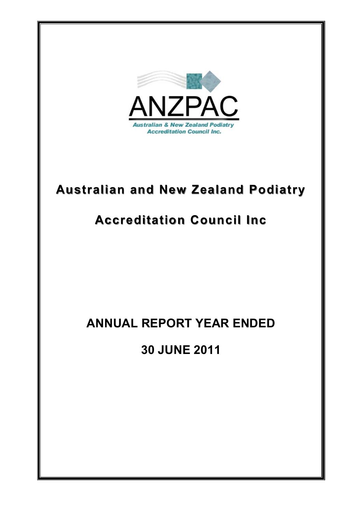

# **Australian and New Zealand Podiatry Australian and New Zealand Podiatry**

# **Accreditation Council Inc Accreditation Council Inc**

# **ANNUAL REPORT YEAR ENDED**

**30 JUNE 2011**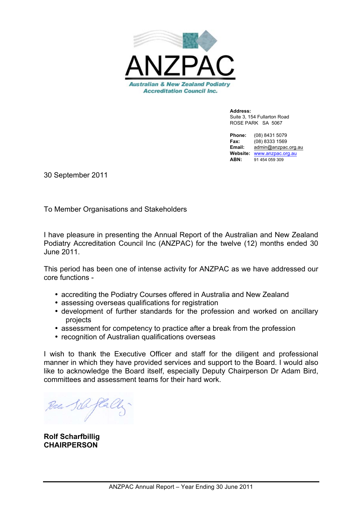

**Address:** Suite 3, 154 Fullarton Road ROSE PARK SA 5067

**Phone:** (08) 8431 5079 **Fax:** (08) 8333 1569 **Email:** admin@anzpac.org.au **Website:** www.anzpac.org.au **ABN:** 91 454 059 309

30 September 2011

To Member Organisations and Stakeholders

I have pleasure in presenting the Annual Report of the Australian and New Zealand Podiatry Accreditation Council Inc (ANZPAC) for the twelve (12) months ended 30 June 2011.

This period has been one of intense activity for ANZPAC as we have addressed our core functions -

- accrediting the Podiatry Courses offered in Australia and New Zealand
- assessing overseas qualifications for registration
- development of further standards for the profession and worked on ancillary projects
- assessment for competency to practice after a break from the profession
- recognition of Australian qualifications overseas

I wish to thank the Executive Officer and staff for the diligent and professional manner in which they have provided services and support to the Board. I would also like to acknowledge the Board itself, especially Deputy Chairperson Dr Adam Bird, committees and assessment teams for their hard work.

**Rolf Scharfbillig CHAIRPERSON**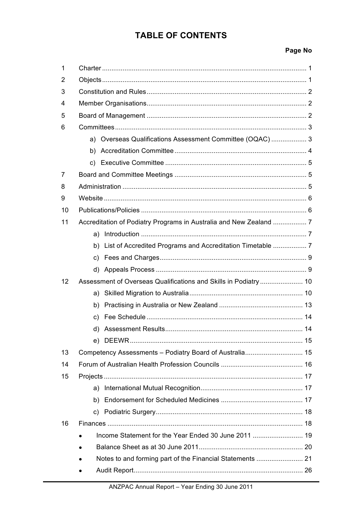## **TABLE OF CONTENTS**

## Page No

| 1  |                                                               |  |  |  |
|----|---------------------------------------------------------------|--|--|--|
| 2  |                                                               |  |  |  |
| 3  |                                                               |  |  |  |
| 4  |                                                               |  |  |  |
| 5  |                                                               |  |  |  |
| 6  |                                                               |  |  |  |
|    | a) Overseas Qualifications Assessment Committee (OQAC) 3      |  |  |  |
|    |                                                               |  |  |  |
|    |                                                               |  |  |  |
| 7  |                                                               |  |  |  |
| 8  |                                                               |  |  |  |
| 9  |                                                               |  |  |  |
| 10 |                                                               |  |  |  |
| 11 |                                                               |  |  |  |
|    |                                                               |  |  |  |
|    | b) List of Accredited Programs and Accreditation Timetable  7 |  |  |  |
|    | C)                                                            |  |  |  |
|    |                                                               |  |  |  |
| 12 |                                                               |  |  |  |
|    |                                                               |  |  |  |
|    |                                                               |  |  |  |
|    |                                                               |  |  |  |
|    |                                                               |  |  |  |
|    |                                                               |  |  |  |
| 13 |                                                               |  |  |  |
| 14 |                                                               |  |  |  |
| 15 |                                                               |  |  |  |
|    |                                                               |  |  |  |
|    |                                                               |  |  |  |
|    |                                                               |  |  |  |
| 16 |                                                               |  |  |  |
|    |                                                               |  |  |  |
|    |                                                               |  |  |  |
|    |                                                               |  |  |  |
|    |                                                               |  |  |  |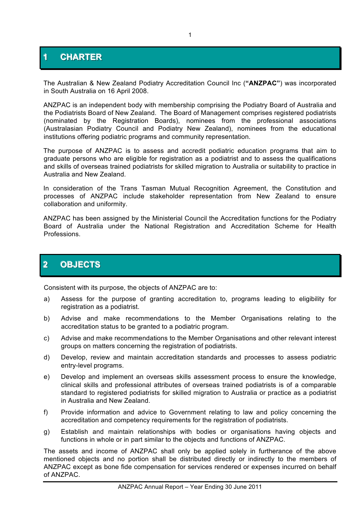## **1 CHARTER**

The Australian & New Zealand Podiatry Accreditation Council Inc (**"ANZPAC"**) was incorporated in South Australia on 16 April 2008.

ANZPAC is an independent body with membership comprising the Podiatry Board of Australia and the Podiatrists Board of New Zealand. The Board of Management comprises registered podiatrists (nominated by the Registration Boards), nominees from the professional associations (Australasian Podiatry Council and Podiatry New Zealand), nominees from the educational institutions offering podiatric programs and community representation.

The purpose of ANZPAC is to assess and accredit podiatric education programs that aim to graduate persons who are eligible for registration as a podiatrist and to assess the qualifications and skills of overseas trained podiatrists for skilled migration to Australia or suitability to practice in Australia and New Zealand.

In consideration of the Trans Tasman Mutual Recognition Agreement, the Constitution and processes of ANZPAC include stakeholder representation from New Zealand to ensure collaboration and uniformity.

ANZPAC has been assigned by the Ministerial Council the Accreditation functions for the Podiatry Board of Australia under the National Registration and Accreditation Scheme for Health Professions.

## **2 OBJECTS**

Consistent with its purpose, the objects of ANZPAC are to:

- a) Assess for the purpose of granting accreditation to, programs leading to eligibility for registration as a podiatrist.
- b) Advise and make recommendations to the Member Organisations relating to the accreditation status to be granted to a podiatric program.
- c) Advise and make recommendations to the Member Organisations and other relevant interest groups on matters concerning the registration of podiatrists.
- d) Develop, review and maintain accreditation standards and processes to assess podiatric entry-level programs.
- e) Develop and implement an overseas skills assessment process to ensure the knowledge, clinical skills and professional attributes of overseas trained podiatrists is of a comparable standard to registered podiatrists for skilled migration to Australia or practice as a podiatrist in Australia and New Zealand.
- f) Provide information and advice to Government relating to law and policy concerning the accreditation and competency requirements for the registration of podiatrists.
- g) Establish and maintain relationships with bodies or organisations having objects and functions in whole or in part similar to the objects and functions of ANZPAC.

The assets and income of ANZPAC shall only be applied solely in furtherance of the above mentioned objects and no portion shall be distributed directly or indirectly to the members of ANZPAC except as bone fide compensation for services rendered or expenses incurred on behalf of ANZPAC.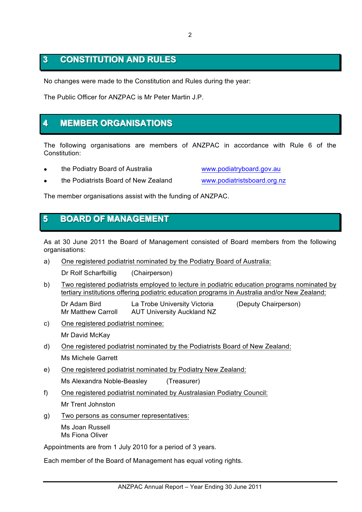## **3 CONSTITUTION AND RULES**

No changes were made to the Constitution and Rules during the year:

The Public Officer for ANZPAC is Mr Peter Martin J.P.

## **4 MEMBER ORGANISATIONS**

The following organisations are members of ANZPAC in accordance with Rule 6 of the Constitution:

the Podiatry Board of Australia www.podiatryboard.gov.au

the Podiatrists Board of New Zealand www.podiatristsboard.org.nz

The member organisations assist with the funding of ANZPAC.

## **5 BOARD OF MANAGEMENT**

As at 30 June 2011 the Board of Management consisted of Board members from the following organisations:

a) One registered podiatrist nominated by the Podiatry Board of Australia:

Dr Rolf Scharfbillig (Chairperson)

b) Two registered podiatrists employed to lecture in podiatric education programs nominated by tertiary institutions offering podiatric education programs in Australia and/or New Zealand:

Dr Adam Bird La Trobe University Victoria (Deputy Chairperson) Mr Matthew Carroll AUT University Auckland NZ

c) One registered podiatrist nominee:

Mr David McKay

- d) One registered podiatrist nominated by the Podiatrists Board of New Zealand: Ms Michele Garrett
- e) One registered podiatrist nominated by Podiatry New Zealand:

Ms Alexandra Noble-Beasley (Treasurer)

f) One registered podiatrist nominated by Australasian Podiatry Council:

Mr Trent Johnston

g) Two persons as consumer representatives:

Ms Joan Russell Ms Fiona Oliver

Appointments are from 1 July 2010 for a period of 3 years.

Each member of the Board of Management has equal voting rights.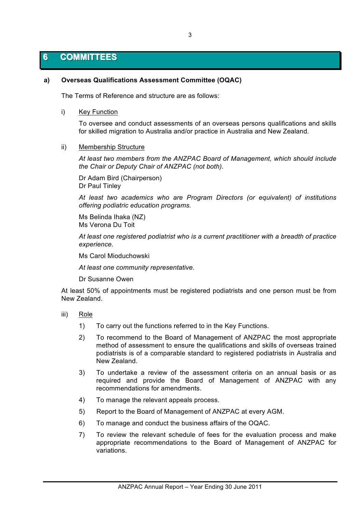## **6 COMMITTEES**

## **a) Overseas Qualifications Assessment Committee (OQAC)**

The Terms of Reference and structure are as follows:

i) Key Function

To oversee and conduct assessments of an overseas persons qualifications and skills for skilled migration to Australia and/or practice in Australia and New Zealand.

ii) Membership Structure

*At least two members from the ANZPAC Board of Management, which should include the Chair or Deputy Chair of ANZPAC (not both).*

Dr Adam Bird (Chairperson) Dr Paul Tinley

*At least two academics who are Program Directors (or equivalent) of institutions offering podiatric education programs.*

Ms Belinda Ihaka (NZ) Ms Verona Du Toit

*At least one registered podiatrist who is a current practitioner with a breadth of practice experience.*

Ms Carol Mioduchowski

*At least one community representative.*

Dr Susanne Owen

At least 50% of appointments must be registered podiatrists and one person must be from New Zealand.

- iii) Role
	- 1) To carry out the functions referred to in the Key Functions.
	- 2) To recommend to the Board of Management of ANZPAC the most appropriate method of assessment to ensure the qualifications and skills of overseas trained podiatrists is of a comparable standard to registered podiatrists in Australia and New Zealand.
	- 3) To undertake a review of the assessment criteria on an annual basis or as required and provide the Board of Management of ANZPAC with any recommendations for amendments.
	- 4) To manage the relevant appeals process.
	- 5) Report to the Board of Management of ANZPAC at every AGM.
	- 6) To manage and conduct the business affairs of the OQAC.
	- 7) To review the relevant schedule of fees for the evaluation process and make appropriate recommendations to the Board of Management of ANZPAC for variations.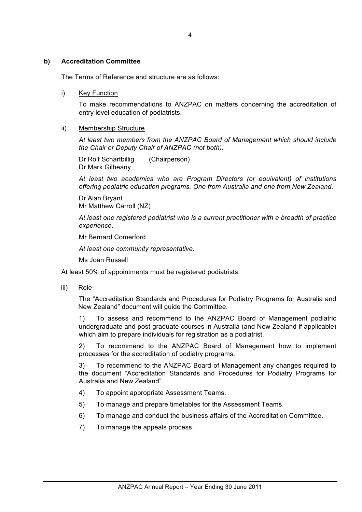### **b) Accreditation Committee**

The Terms of Reference and structure are as follows:

#### i) Key Function

To make recommendations to ANZPAC on matters concerning the accreditation of entry level education of podiatrists.

#### ii) Membership Structure

*At least two members from the ANZPAC Board of Management which should include the Chair or Deputy Chair of ANZPAC (not both).*

Dr Rolf Scharfbillig (Chairperson) Dr Mark Gilheany

*At least two academics who are Program Directors (or equivalent) of institutions offering podiatric education programs. One from Australia and one from New Zealand.*

Dr Alan Bryant Mr Matthew Carroll (NZ)

*At least one registered podiatrist who is a current practitioner with a breadth of practice experience.*

Mr Bernard Comerford

*At least one community representative.*

Ms Joan Russell

At least 50% of appointments must be registered podiatrists.

iii) Role

The "Accreditation Standards and Procedures for Podiatry Programs for Australia and New Zealand" document will guide the Committee.

1) To assess and recommend to the ANZPAC Board of Management podiatric undergraduate and post-graduate courses in Australia (and New Zealand if applicable) which aim to prepare individuals for registration as a podiatrist.

2) To recommend to the ANZPAC Board of Management how to implement processes for the accreditation of podiatry programs.

3) To recommend to the ANZPAC Board of Management any changes required to the document "Accreditation Standards and Procedures for Podiatry Programs for Australia and New Zealand".

- 4) To appoint appropriate Assessment Teams.
- 5) To manage and prepare timetables for the Assessment Teams.
- 6) To manage and conduct the business affairs of the Accreditation Committee.
- 7) To manage the appeals process.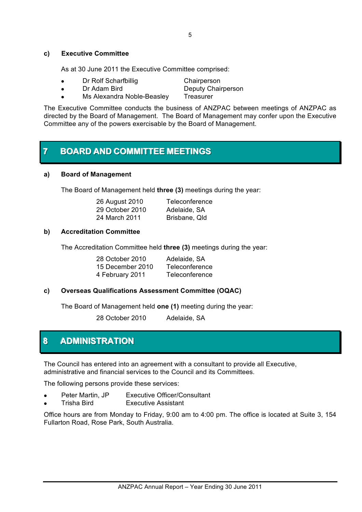### **c) Executive Committee**

As at 30 June 2011 the Executive Committee comprised:

- Dr Rolf Scharfbillig Chairperson
- Dr Adam Bird Deputy Chairperson ! Ms Alexandra Noble-Beasley Treasurer

The Executive Committee conducts the business of ANZPAC between meetings of ANZPAC as directed by the Board of Management. The Board of Management may confer upon the Executive Committee any of the powers exercisable by the Board of Management.

## **7 BOARD AND COMMITTEE MEETINGS**

### **a) Board of Management**

The Board of Management held **three (3)** meetings during the year:

| 26 August 2010  | Teleconference |
|-----------------|----------------|
| 29 October 2010 | Adelaide, SA   |
| 24 March 2011   | Brisbane, Qld  |

## **b) Accreditation Committee**

The Accreditation Committee held **three (3)** meetings during the year:

| 28 October 2010  | Adelaide, SA   |
|------------------|----------------|
| 15 December 2010 | Teleconference |
| 4 February 2011  | Teleconference |

## **c) Overseas Qualifications Assessment Committee (OQAC)**

The Board of Management held **one (1)** meeting during the year:

28 October 2010 Adelaide, SA

## **8 ADMINISTRATION**

The Council has entered into an agreement with a consultant to provide all Executive, administrative and financial services to the Council and its Committees.

The following persons provide these services:

- Peter Martin, JP Executive Officer/Consultant
- ! Trisha Bird Executive Assistant

Office hours are from Monday to Friday, 9:00 am to 4:00 pm. The office is located at Suite 3, 154 Fullarton Road, Rose Park, South Australia.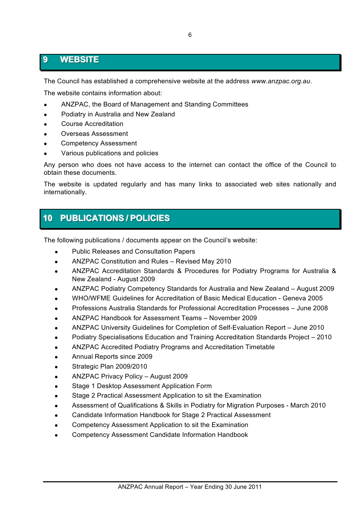## **9 WEBSITE**

The Council has established a comprehensive website at the address *www.anzpac.org.au*.

The website contains information about:

- ! ANZPAC, the Board of Management and Standing Committees
- Podiatry in Australia and New Zealand
- ! Course Accreditation
- ! Overseas Assessment
- ! Competency Assessment
- Various publications and policies

Any person who does not have access to the internet can contact the office of the Council to obtain these documents.

The website is updated regularly and has many links to associated web sites nationally and internationally.

## **10 PUBLICATIONS / POLICIES**

The following publications / documents appear on the Council's website:

- ! Public Releases and Consultation Papers
- ANZPAC Constitution and Rules Revised May 2010
- ! ANZPAC Accreditation Standards & Procedures for Podiatry Programs for Australia & New Zealand - August 2009
- ! ANZPAC Podiatry Competency Standards for Australia and New Zealand August 2009
- ! WHO/WFME Guidelines for Accreditation of Basic Medical Education Geneva 2005
- ! Professions Australia Standards for Professional Accreditation Processes June 2008
- ! ANZPAC Handbook for Assessment Teams November 2009
- ! ANZPAC University Guidelines for Completion of Self-Evaluation Report June 2010
- ! Podiatry Specialisations Education and Training Accreditation Standards Project 2010
- ! ANZPAC Accredited Podiatry Programs and Accreditation Timetable
- ! Annual Reports since 2009
- Strategic Plan 2009/2010
- ANZPAC Privacy Policy August 2009
- Stage 1 Desktop Assessment Application Form
- ! Stage 2 Practical Assessment Application to sit the Examination
- ! Assessment of Qualifications & Skills in Podiatry for Migration Purposes March 2010
- Candidate Information Handbook for Stage 2 Practical Assessment
- ! Competency Assessment Application to sit the Examination
- ! Competency Assessment Candidate Information Handbook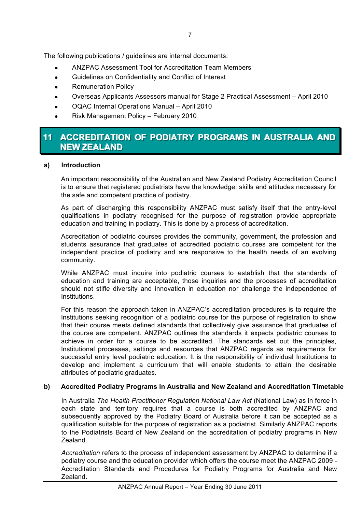The following publications / guidelines are internal documents:

- ! ANZPAC Assessment Tool for Accreditation Team Members
- ! Guidelines on Confidentiality and Conflict of Interest
- **.** Remuneration Policy
- ! Overseas Applicants Assessors manual for Stage 2 Practical Assessment April 2010
- ! OQAC Internal Operations Manual April 2010
- ! Risk Management Policy February 2010

## **11 ACCREDITATION OF PODIATRY PROGRAMS IN AUSTRALIA AND NEW ZEALAND**

## **a) Introduction**

An important responsibility of the Australian and New Zealand Podiatry Accreditation Council is to ensure that registered podiatrists have the knowledge, skills and attitudes necessary for the safe and competent practice of podiatry.

As part of discharging this responsibility ANZPAC must satisfy itself that the entry-level qualifications in podiatry recognised for the purpose of registration provide appropriate education and training in podiatry. This is done by a process of accreditation.

Accreditation of podiatric courses provides the community, government, the profession and students assurance that graduates of accredited podiatric courses are competent for the independent practice of podiatry and are responsive to the health needs of an evolving community.

While ANZPAC must inquire into podiatric courses to establish that the standards of education and training are acceptable, those inquiries and the processes of accreditation should not stifle diversity and innovation in education nor challenge the independence of Institutions.

For this reason the approach taken in ANZPAC's accreditation procedures is to require the Institutions seeking recognition of a podiatric course for the purpose of registration to show that their course meets defined standards that collectively give assurance that graduates of the course are competent. ANZPAC outlines the standards it expects podiatric courses to achieve in order for a course to be accredited. The standards set out the principles, Institutional processes, settings and resources that ANZPAC regards as requirements for successful entry level podiatric education. It is the responsibility of individual Institutions to develop and implement a curriculum that will enable students to attain the desirable attributes of podiatric graduates.

## **b) Accredited Podiatry Programs in Australia and New Zealand and Accreditation Timetable**

In Australia *The Health Practitioner Regulation National Law Act* (National Law) as in force in each state and territory requires that a course is both accredited by ANZPAC and subsequently approved by the Podiatry Board of Australia before it can be accepted as a qualification suitable for the purpose of registration as a podiatrist. Similarly ANZPAC reports to the Podiatrists Board of New Zealand on the accreditation of podiatry programs in New Zealand.

*Accreditation* refers to the process of independent assessment by ANZPAC to determine if a podiatry course and the education provider which offers the course meet the ANZPAC 2009 - Accreditation Standards and Procedures for Podiatry Programs for Australia and New Zealand.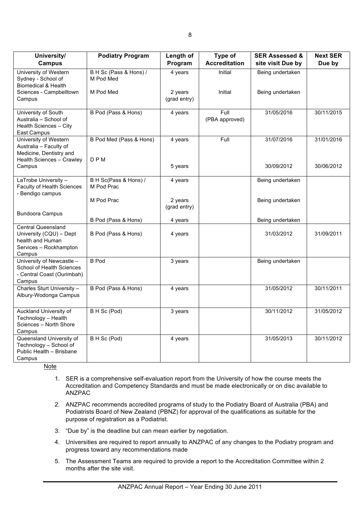| University/<br><b>Campus</b>                                                                                   | <b>Podiatry Program</b>               | Length of<br>Program    | Type of<br><b>Accreditation</b> | <b>SER Assessed &amp;</b><br>site visit Due by | <b>Next SER</b><br>Due by |
|----------------------------------------------------------------------------------------------------------------|---------------------------------------|-------------------------|---------------------------------|------------------------------------------------|---------------------------|
| University of Western<br>Sydney - School of<br><b>Biomedical &amp; Health</b>                                  | B H Sc (Pass & Hons) /<br>M Pod Med   | 4 years                 | Initial                         | Being undertaken                               |                           |
| Sciences - Campbelltown<br>Campus                                                                              | M Pod Med                             | 2 years<br>(grad entry) | Initial                         | Being undertaken                               |                           |
| University of South<br>Australia - School of<br>Health Sciences - City<br>East Campus                          | B Pod (Pass & Hons)                   | 4 years                 | Full<br>(PBA approved)          | 31/05/2016                                     | 30/11/2015                |
| University of Western<br>Australia - Faculty of<br>Medicine, Dentistry and<br><b>Health Sciences - Crawley</b> | B Pod Med (Pass & Hons)<br><b>DPM</b> | 4 years                 | Full                            | 31/07/2016                                     | 31/01/2016                |
| Campus                                                                                                         |                                       | 5 years                 |                                 | 30/09/2012                                     | 30/06/2012                |
| LaTrobe University -<br>Faculty of Health Sciences<br>- Bendigo campus                                         | B H Sc(Pass & Hons) /<br>M Pod Prac   | 4 years                 |                                 | Being undertaken                               |                           |
|                                                                                                                | M Pod Prac                            | 2 years<br>(grad entry) |                                 | Being undertaken                               |                           |
| <b>Bundoora Campus</b>                                                                                         | B Pod (Pass & Hons)                   | 4 years                 |                                 | Being undertaken                               |                           |
| <b>Central Queensland</b><br>University (CQU) - Dept<br>health and Human<br>Services - Rockhampton<br>Campus   | B Pod (Pass & Hons)                   | 4 years                 |                                 | 31/03/2012                                     | 31/09/2011                |
| University of Newcastle -<br>School of Health Sciences<br>- Central Coast (Ourimbah)<br>Campus                 | <b>B</b> Pod                          | 3 years                 |                                 | Being undertaken                               |                           |
| Charles Sturt University -<br>Albury-Wodonga Campus                                                            | B Pod (Pass & Hons)                   | 4 years                 |                                 | 31/05/2012                                     | 30/11/2011                |
| Auckland University of<br>Technology - Health<br>Sciences - North Shore<br>Campus                              | B H Sc (Pod)                          | 3 years                 |                                 | 30/11/2012                                     | 31/05/2012                |
| Queensland University of<br>Technology - School of<br>Public Health - Brisbane<br>Campus                       | B H Sc (Pod)                          | 4 years                 |                                 | 31/05/2013                                     | 30/11/2012                |

Note

- 1. SER is a comprehensive self-evaluation report from the University of how the course meets the Accreditation and Competency Standards and must be made electronically or on disc available to ANZPAC
- 2. ANZPAC recommends accredited programs of study to the Podiatry Board of Australia (PBA) and Podiatrists Board of New Zealand (PBNZ) for approval of the qualifications as suitable for the purpose of registration as a Podiatrist.
- 3. "Due by" is the deadline but can mean earlier by negotiation.
- 4. Universities are required to report annually to ANZPAC of any changes to the Podiatry program and progress toward any recommendations made
- 5. The Assessment Teams are required to provide a report to the Accreditation Committee within 2 months after the site visit.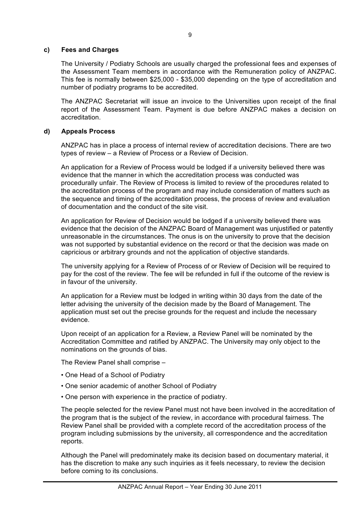### **c) Fees and Charges**

The University / Podiatry Schools are usually charged the professional fees and expenses of the Assessment Team members in accordance with the Remuneration policy of ANZPAC. This fee is normally between \$25,000 - \$35,000 depending on the type of accreditation and number of podiatry programs to be accredited.

The ANZPAC Secretariat will issue an invoice to the Universities upon receipt of the final report of the Assessment Team. Payment is due before ANZPAC makes a decision on accreditation.

### **d) Appeals Process**

ANZPAC has in place a process of internal review of accreditation decisions. There are two types of review – a Review of Process or a Review of Decision.

An application for a Review of Process would be lodged if a university believed there was evidence that the manner in which the accreditation process was conducted was procedurally unfair. The Review of Process is limited to review of the procedures related to the accreditation process of the program and may include consideration of matters such as the sequence and timing of the accreditation process, the process of review and evaluation of documentation and the conduct of the site visit.

An application for Review of Decision would be lodged if a university believed there was evidence that the decision of the ANZPAC Board of Management was unjustified or patently unreasonable in the circumstances. The onus is on the university to prove that the decision was not supported by substantial evidence on the record or that the decision was made on capricious or arbitrary grounds and not the application of objective standards.

The university applying for a Review of Process of or Review of Decision will be required to pay for the cost of the review. The fee will be refunded in full if the outcome of the review is in favour of the university.

An application for a Review must be lodged in writing within 30 days from the date of the letter advising the university of the decision made by the Board of Management. The application must set out the precise grounds for the request and include the necessary evidence.

Upon receipt of an application for a Review, a Review Panel will be nominated by the Accreditation Committee and ratified by ANZPAC. The University may only object to the nominations on the grounds of bias.

The Review Panel shall comprise –

- One Head of a School of Podiatry
- One senior academic of another School of Podiatry
- One person with experience in the practice of podiatry.

The people selected for the review Panel must not have been involved in the accreditation of the program that is the subject of the review, in accordance with procedural fairness. The Review Panel shall be provided with a complete record of the accreditation process of the program including submissions by the university, all correspondence and the accreditation reports.

Although the Panel will predominately make its decision based on documentary material, it has the discretion to make any such inquiries as it feels necessary, to review the decision before coming to its conclusions.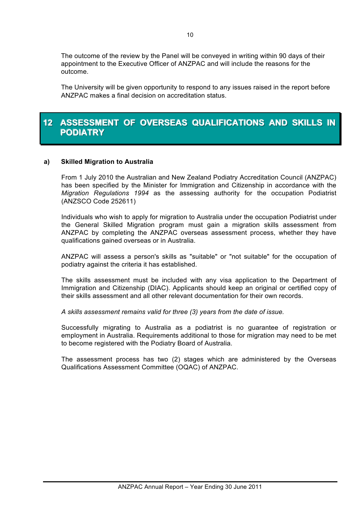The outcome of the review by the Panel will be conveyed in writing within 90 days of their appointment to the Executive Officer of ANZPAC and will include the reasons for the outcome.

The University will be given opportunity to respond to any issues raised in the report before ANZPAC makes a final decision on accreditation status.

## **12 ASSESSMENT OF OVERSEAS QUALIFICATIONS AND SKILLS IN PODIATRY**

### **a) Skilled Migration to Australia**

From 1 July 2010 the Australian and New Zealand Podiatry Accreditation Council (ANZPAC) has been specified by the Minister for Immigration and Citizenship in accordance with the *Migration Regulations 1994* as the assessing authority for the occupation Podiatrist (ANZSCO Code 252611)

Individuals who wish to apply for migration to Australia under the occupation Podiatrist under the General Skilled Migration program must gain a migration skills assessment from ANZPAC by completing the ANZPAC overseas assessment process, whether they have qualifications gained overseas or in Australia.

ANZPAC will assess a person's skills as "suitable" or "not suitable" for the occupation of podiatry against the criteria it has established.

The skills assessment must be included with any visa application to the Department of Immigration and Citizenship (DIAC). Applicants should keep an original or certified copy of their skills assessment and all other relevant documentation for their own records.

*A skills assessment remains valid for three (3) years from the date of issue.*

Successfully migrating to Australia as a podiatrist is no guarantee of registration or employment in Australia. Requirements additional to those for migration may need to be met to become registered with the Podiatry Board of Australia.

The assessment process has two (2) stages which are administered by the Overseas Qualifications Assessment Committee (OQAC) of ANZPAC.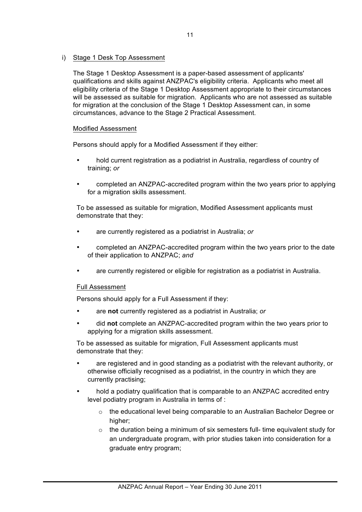### i) Stage 1 Desk Top Assessment

The Stage 1 Desktop Assessment is a paper-based assessment of applicants' qualifications and skills against ANZPAC's eligibility criteria. Applicants who meet all eligibility criteria of the Stage 1 Desktop Assessment appropriate to their circumstances will be assessed as suitable for migration. Applicants who are not assessed as suitable for migration at the conclusion of the Stage 1 Desktop Assessment can, in some circumstances, advance to the Stage 2 Practical Assessment.

#### Modified Assessment

Persons should apply for a Modified Assessment if they either:

- hold current registration as a podiatrist in Australia, regardless of country of training; *or*
- completed an ANZPAC-accredited program within the two years prior to applying for a migration skills assessment.

To be assessed as suitable for migration, Modified Assessment applicants must demonstrate that they:

- are currently registered as a podiatrist in Australia; *or*
- completed an ANZPAC-accredited program within the two years prior to the date of their application to ANZPAC; *and*
- are currently registered or eligible for registration as a podiatrist in Australia.

#### Full Assessment

Persons should apply for a Full Assessment if they:

- are **not** currently registered as a podiatrist in Australia; *or*
- did **not** complete an ANZPAC-accredited program within the two years prior to applying for a migration skills assessment.

To be assessed as suitable for migration, Full Assessment applicants must demonstrate that they:

- are registered and in good standing as a podiatrist with the relevant authority, or otherwise officially recognised as a podiatrist, in the country in which they are currently practising;
- hold a podiatry qualification that is comparable to an ANZPAC accredited entry level podiatry program in Australia in terms of :
	- o the educational level being comparable to an Australian Bachelor Degree or higher;
	- $\circ$  the duration being a minimum of six semesters full- time equivalent study for an undergraduate program, with prior studies taken into consideration for a graduate entry program;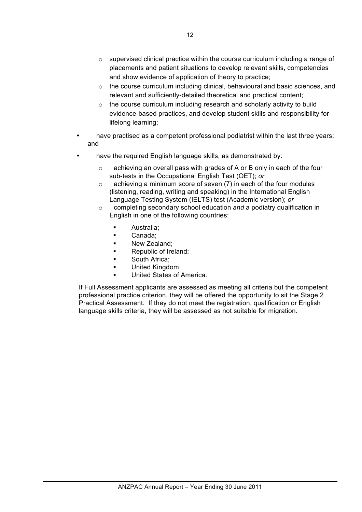- $\circ$  supervised clinical practice within the course curriculum including a range of placements and patient situations to develop relevant skills, competencies and show evidence of application of theory to practice;
- o the course curriculum including clinical, behavioural and basic sciences, and relevant and sufficiently-detailed theoretical and practical content;
- $\circ$  the course curriculum including research and scholarly activity to build evidence-based practices, and develop student skills and responsibility for lifelong learning;
- have practised as a competent professional podiatrist within the last three years; and
- have the required English language skills, as demonstrated by:
	- o achieving an overall pass with grades of A or B only in each of the four sub-tests in the Occupational English Test (OET); *or*
	- $\circ$  achieving a minimum score of seven (7) in each of the four modules (listening, reading, writing and speaking) in the International English Language Testing System (IELTS) test (Academic version); *or*
	- o completing secondary school education *and* a podiatry qualification in English in one of the following countries:
		- Australia:
		- Canada:
		- New Zealand:
		- Republic of Ireland;
		- South Africa:
		- United Kingdom;
		- United States of America.

If Full Assessment applicants are assessed as meeting all criteria but the competent professional practice criterion, they will be offered the opportunity to sit the Stage 2 Practical Assessment. If they do not meet the registration, qualification or English language skills criteria, they will be assessed as not suitable for migration.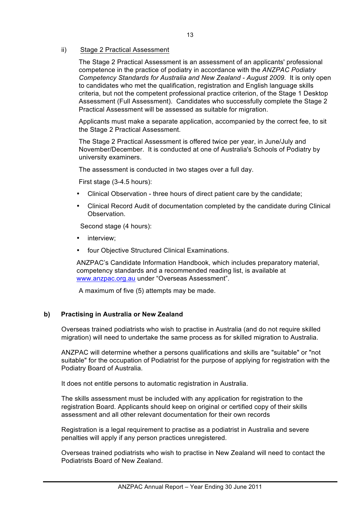### ii) Stage 2 Practical Assessment

The Stage 2 Practical Assessment is an assessment of an applicants' professional competence in the practice of podiatry in accordance with the *ANZPAC Podiatry Competency Standards for Australia and New Zealand - August 2009*. It is only open to candidates who met the qualification, registration and English language skills criteria, but not the competent professional practice criterion, of the Stage 1 Desktop Assessment (Full Assessment). Candidates who successfully complete the Stage 2 Practical Assessment will be assessed as suitable for migration.

Applicants must make a separate application, accompanied by the correct fee, to sit the Stage 2 Practical Assessment.

The Stage 2 Practical Assessment is offered twice per year, in June/July and November/December. It is conducted at one of Australia's Schools of Podiatry by university examiners.

The assessment is conducted in two stages over a full day.

First stage (3-4.5 hours):

- Clinical Observation three hours of direct patient care by the candidate;
- Clinical Record Audit of documentation completed by the candidate during Clinical Observation.

Second stage (4 hours):

- interview;
- four Objective Structured Clinical Examinations.

ANZPAC's Candidate Information Handbook, which includes preparatory material, competency standards and a recommended reading list, is available at www.anzpac.org.au under "Overseas Assessment".

A maximum of five (5) attempts may be made.

## **b) Practising in Australia or New Zealand**

Overseas trained podiatrists who wish to practise in Australia (and do not require skilled migration) will need to undertake the same process as for skilled migration to Australia.

ANZPAC will determine whether a persons qualifications and skills are "suitable" or "not suitable" for the occupation of Podiatrist for the purpose of applying for registration with the Podiatry Board of Australia.

It does not entitle persons to automatic registration in Australia.

The skills assessment must be included with any application for registration to the registration Board. Applicants should keep on original or certified copy of their skills assessment and all other relevant documentation for their own records

Registration is a legal requirement to practise as a podiatrist in Australia and severe penalties will apply if any person practices unregistered.

Overseas trained podiatrists who wish to practise in New Zealand will need to contact the Podiatrists Board of New Zealand.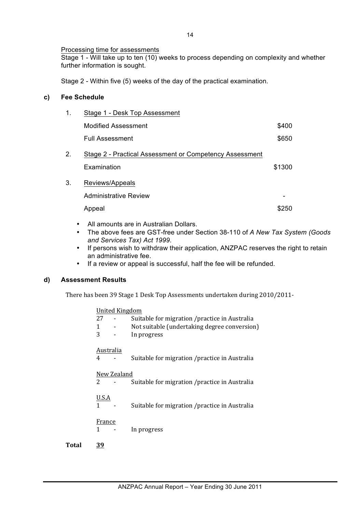### Processing time for assessments

Stage 1 - Will take up to ten (10) weeks to process depending on complexity and whether further information is sought.

Stage 2 - Within five (5) weeks of the day of the practical examination.

## **c) Fee Schedule**

| 1. | Stage 1 - Desk Top Assessment                                          |        |  |
|----|------------------------------------------------------------------------|--------|--|
|    | <b>Modified Assessment</b>                                             | \$400  |  |
|    | <b>Full Assessment</b>                                                 | \$650  |  |
| 2. | Stage 2 - Practical Assessment or Competency Assessment<br>Examination | \$1300 |  |
|    |                                                                        |        |  |
| 3. | Reviews/Appeals                                                        |        |  |
|    | Administrative Review                                                  |        |  |
|    | Appeal                                                                 | \$250  |  |
|    |                                                                        |        |  |

- All amounts are in Australian Dollars.
- The above fees are GST-free under Section 38-110 of *A New Tax System (Goods and Services Tax) Act 1999*.
- If persons wish to withdraw their application, ANZPAC reserves the right to retain an administrative fee.
- If a review or appeal is successful, half the fee will be refunded.

## **d) Assessment Results**

There has been 39 Stage 1 Desk Top Assessments undertaken during 2010/2011-

|       | <b>United Kingdom</b> |                                                |
|-------|-----------------------|------------------------------------------------|
|       | 27                    | Suitable for migration / practice in Australia |
|       | 1                     | Not suitable (undertaking degree conversion)   |
|       | 3                     | In progress                                    |
|       | Australia             |                                                |
|       | 4                     | Suitable for migration /practice in Australia  |
|       | New Zealand           |                                                |
|       | 2                     | Suitable for migration / practice in Australia |
|       | <b>U.S.A</b>          |                                                |
|       | 1                     | Suitable for migration / practice in Australia |
|       | France                |                                                |
|       | 1                     | In progress                                    |
| Total | 39                    |                                                |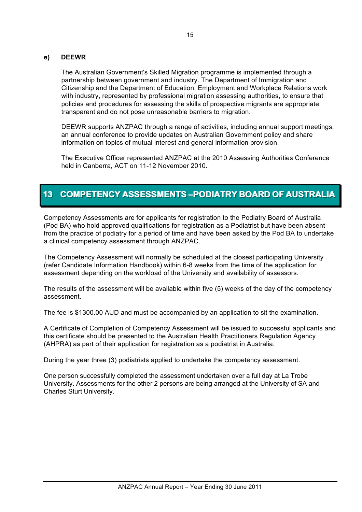### **e) DEEWR**

The Australian Government's Skilled Migration programme is implemented through a partnership between government and industry. The Department of Immigration and Citizenship and the Department of Education, Employment and Workplace Relations work with industry, represented by professional migration assessing authorities, to ensure that policies and procedures for assessing the skills of prospective migrants are appropriate, transparent and do not pose unreasonable barriers to migration.

DEEWR supports ANZPAC through a range of activities, including annual support meetings, an annual conference to provide updates on Australian Government policy and share information on topics of mutual interest and general information provision.

The Executive Officer represented ANZPAC at the 2010 Assessing Authorities Conference held in Canberra, ACT on 11-12 November 2010.

## **13 COMPETENCY ASSESSMENTS-PODIATRY BOARD OF AUSTRALIA**

Competency Assessments are for applicants for registration to the Podiatry Board of Australia (Pod BA) who hold approved qualifications for registration as a Podiatrist but have been absent from the practice of podiatry for a period of time and have been asked by the Pod BA to undertake a clinical competency assessment through ANZPAC.

The Competency Assessment will normally be scheduled at the closest participating University (refer Candidate Information Handbook) within 6-8 weeks from the time of the application for assessment depending on the workload of the University and availability of assessors.

The results of the assessment will be available within five (5) weeks of the day of the competency assessment.

The fee is \$1300.00 AUD and must be accompanied by an application to sit the examination.

A Certificate of Completion of Competency Assessment will be issued to successful applicants and this certificate should be presented to the Australian Health Practitioners Regulation Agency (AHPRA) as part of their application for registration as a podiatrist in Australia.

During the year three (3) podiatrists applied to undertake the competency assessment.

One person successfully completed the assessment undertaken over a full day at La Trobe University. Assessments for the other 2 persons are being arranged at the University of SA and Charles Sturt University.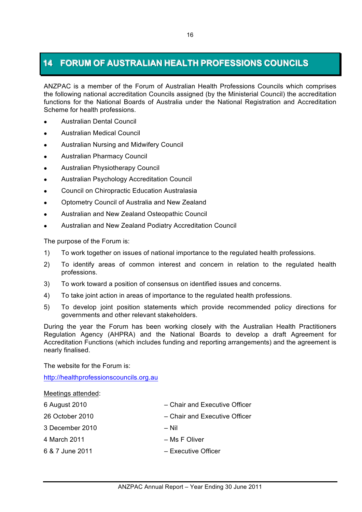## **14 FORUM OF AUSTRALIAN HEALTH PROFESSIONS COUNCILS**

ANZPAC is a member of the Forum of Australian Health Professions Councils which comprises the following national accreditation Councils assigned (by the Ministerial Council) the accreditation functions for the National Boards of Australia under the National Registration and Accreditation Scheme for health professions.

- ! Australian Dental Council
- **.** Australian Medical Council
- ! Australian Nursing and Midwifery Council
- ! Australian Pharmacy Council
- Australian Physiotherapy Council
- ! Australian Psychology Accreditation Council
- ! Council on Chiropractic Education Australasia
- **.** Optometry Council of Australia and New Zealand
- ! Australian and New Zealand Osteopathic Council
- ! Australian and New Zealand Podiatry Accreditation Council

The purpose of the Forum is:

- 1) To work together on issues of national importance to the regulated health professions.
- 2) To identify areas of common interest and concern in relation to the regulated health professions.
- 3) To work toward a position of consensus on identified issues and concerns.
- 4) To take joint action in areas of importance to the regulated health professions.
- 5) To develop joint position statements which provide recommended policy directions for governments and other relevant stakeholders.

During the year the Forum has been working closely with the Australian Health Practitioners Regulation Agency (AHPRA) and the National Boards to develop a draft Agreement for Accreditation Functions (which includes funding and reporting arrangements) and the agreement is nearly finalised.

The website for the Forum is:

http://healthprofessionscouncils.org.au

Meetings attended:

- 
- 
- 3 December 2010 Nil
- 
- 
- 6 August 2010 Chair and Executive Officer
- 26 October 2010 Chair and Executive Officer
	-
- 4 March 2011 Ms F Oliver
- 6 & 7 June 2011 Executive Officer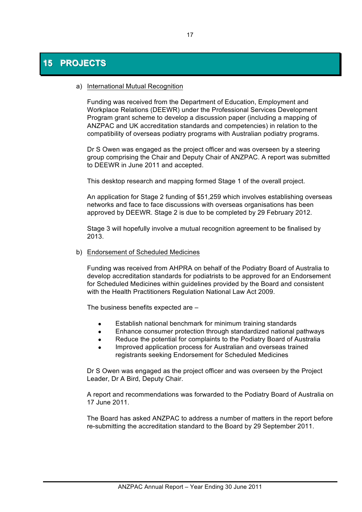#### a) International Mutual Recognition

Funding was received from the Department of Education, Employment and Workplace Relations (DEEWR) under the Professional Services Development Program grant scheme to develop a discussion paper (including a mapping of ANZPAC and UK accreditation standards and competencies) in relation to the compatibility of overseas podiatry programs with Australian podiatry programs.

Dr S Owen was engaged as the project officer and was overseen by a steering group comprising the Chair and Deputy Chair of ANZPAC. A report was submitted to DEEWR in June 2011 and accepted.

This desktop research and mapping formed Stage 1 of the overall project.

An application for Stage 2 funding of \$51,259 which involves establishing overseas networks and face to face discussions with overseas organisations has been approved by DEEWR. Stage 2 is due to be completed by 29 February 2012.

Stage 3 will hopefully involve a mutual recognition agreement to be finalised by 2013.

#### b) Endorsement of Scheduled Medicines

Funding was received from AHPRA on behalf of the Podiatry Board of Australia to develop accreditation standards for podiatrists to be approved for an Endorsement for Scheduled Medicines within guidelines provided by the Board and consistent with the Health Practitioners Regulation National Law Act 2009.

The business benefits expected are –

- Establish national benchmark for minimum training standards
- Enhance consumer protection through standardized national pathways
- Reduce the potential for complaints to the Podiatry Board of Australia
- ! Improved application process for Australian and overseas trained registrants seeking Endorsement for Scheduled Medicines

Dr S Owen was engaged as the project officer and was overseen by the Project Leader, Dr A Bird, Deputy Chair.

A report and recommendations was forwarded to the Podiatry Board of Australia on 17 June 2011.

The Board has asked ANZPAC to address a number of matters in the report before re-submitting the accreditation standard to the Board by 29 September 2011.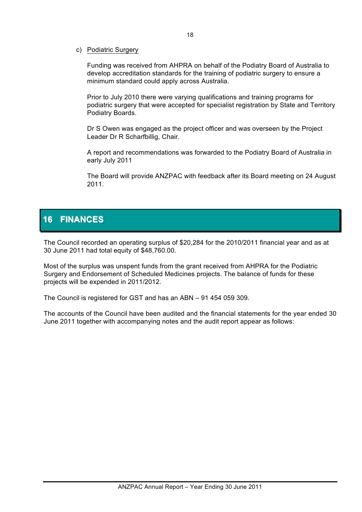### c) Podiatric Surgery

Funding was received from AHPRA on behalf of the Podiatry Board of Australia to develop accreditation standards for the training of podiatric surgery to ensure a minimum standard could apply across Australia.

Prior to July 2010 there were varying qualifications and training programs for podiatric surgery that were accepted for specialist registration by State and Territory Podiatry Boards.

Dr S Owen was engaged as the project officer and was overseen by the Project Leader Dr R Scharfbillig, Chair.

A report and recommendations was forwarded to the Podiatry Board of Australia in early July 2011

The Board will provide ANZPAC with feedback after its Board meeting on 24 August 2011.

## **16 FINANCES**

The Council recorded an operating surplus of \$20,284 for the 2010/2011 financial year and as at 30 June 2011 had total equity of \$48,760.00.

Most of the surplus was unspent funds from the grant received from AHPRA for the Podiatric Surgery and Endorsement of Scheduled Medicines projects. The balance of funds for these projects will be expended in 2011/2012.

The Council is registered for GST and has an ABN – 91 454 059 309.

The accounts of the Council have been audited and the financial statements for the year ended 30 June 2011 together with accompanying notes and the audit report appear as follows: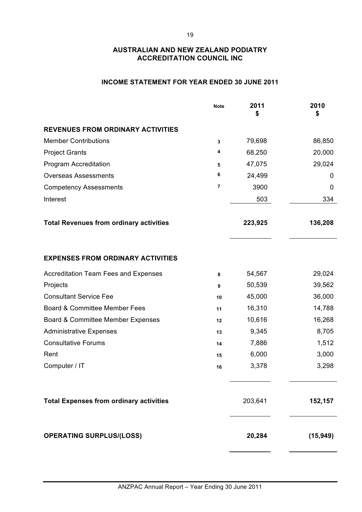## **INCOME STATEMENT FOR YEAR ENDED 30 JUNE 2011**

|                                                | <b>Note</b> | 2011<br>\$ | 2010<br>\$ |
|------------------------------------------------|-------------|------------|------------|
| <b>REVENUES FROM ORDINARY ACTIVITIES</b>       |             |            |            |
| <b>Member Contributions</b>                    | 3           | 79,698     | 86,850     |
| <b>Project Grants</b>                          | 4           | 68,250     | 20,000     |
| Program Accreditation                          | 5           | 47,075     | 29,024     |
| <b>Overseas Assessments</b>                    | 6           | 24,499     | 0          |
| <b>Competency Assessments</b>                  | 7           | 3900       | 0          |
| Interest                                       |             | 503        | 334        |
| <b>Total Revenues from ordinary activities</b> |             | 223,925    | 136,208    |
| <b>EXPENSES FROM ORDINARY ACTIVITIES</b>       |             |            |            |
| <b>Accreditation Team Fees and Expenses</b>    | 8           | 54,567     | 29,024     |
| Projects                                       | 9           | 50,539     | 39,562     |
| <b>Consultant Service Fee</b>                  | 10          | 45,000     | 36,000     |
| Board & Committee Member Fees                  | 11          | 16,310     | 14,788     |
| Board & Committee Member Expenses              | 12          | 10,616     | 16,268     |
| <b>Administrative Expenses</b>                 | 13          | 9,345      | 8,705      |
| <b>Consultative Forums</b>                     | 14          | 7,886      | 1,512      |
| Rent                                           | 15          | 6,000      | 3,000      |
| Computer / IT                                  | 16          | 3,378      | 3,298      |
| <b>Total Expenses from ordinary activities</b> |             | 203,641    | 152,157    |
| <b>OPERATING SURPLUS/(LOSS)</b>                |             | 20,284     | (15, 949)  |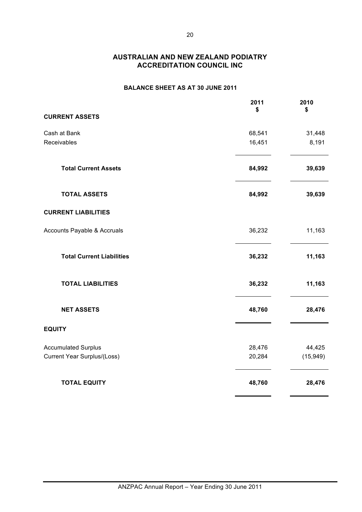### **BALANCE SHEET AS AT 30 JUNE 2011**

|                                  | 2011<br>\$ | 2010<br>\$ |
|----------------------------------|------------|------------|
| <b>CURRENT ASSETS</b>            |            |            |
| Cash at Bank                     | 68,541     | 31,448     |
| Receivables                      | 16,451     | 8,191      |
| <b>Total Current Assets</b>      | 84,992     | 39,639     |
| <b>TOTAL ASSETS</b>              | 84,992     | 39,639     |
| <b>CURRENT LIABILITIES</b>       |            |            |
| Accounts Payable & Accruals      | 36,232     | 11,163     |
| <b>Total Current Liabilities</b> | 36,232     | 11,163     |
| <b>TOTAL LIABILITIES</b>         | 36,232     | 11,163     |
| <b>NET ASSETS</b>                | 48,760     | 28,476     |
| <b>EQUITY</b>                    |            |            |
| <b>Accumulated Surplus</b>       | 28,476     | 44,425     |
| Current Year Surplus/(Loss)      | 20,284     | (15, 949)  |
| <b>TOTAL EQUITY</b>              | 48,760     | 28,476     |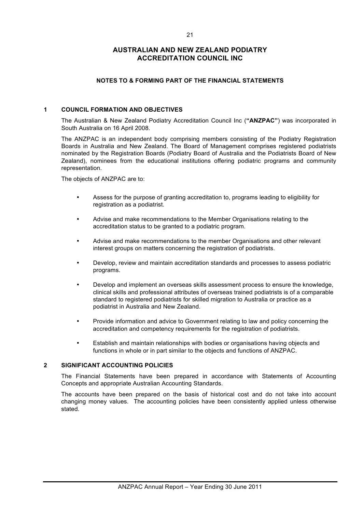#### **NOTES TO & FORMING PART OF THE FINANCIAL STATEMENTS**

#### **1 COUNCIL FORMATION AND OBJECTIVES**

The Australian & New Zealand Podiatry Accreditation Council Inc (**"ANZPAC"**) was incorporated in South Australia on 16 April 2008.

The ANZPAC is an independent body comprising members consisting of the Podiatry Registration Boards in Australia and New Zealand. The Board of Management comprises registered podiatrists nominated by the Registration Boards (Podiatry Board of Australia and the Podiatrists Board of New Zealand), nominees from the educational institutions offering podiatric programs and community representation.

The objects of ANZPAC are to:

- Assess for the purpose of granting accreditation to, programs leading to eligibility for registration as a podiatrist.
- Advise and make recommendations to the Member Organisations relating to the accreditation status to be granted to a podiatric program.
- Advise and make recommendations to the member Organisations and other relevant interest groups on matters concerning the registration of podiatrists.
- Develop, review and maintain accreditation standards and processes to assess podiatric programs.
- Develop and implement an overseas skills assessment process to ensure the knowledge, clinical skills and professional attributes of overseas trained podiatrists is of a comparable standard to registered podiatrists for skilled migration to Australia or practice as a podiatrist in Australia and New Zealand.
- Provide information and advice to Government relating to law and policy concerning the accreditation and competency requirements for the registration of podiatrists.
- Establish and maintain relationships with bodies or organisations having objects and functions in whole or in part similar to the objects and functions of ANZPAC.

#### **2 SIGNIFICANT ACCOUNTING POLICIES**

The Financial Statements have been prepared in accordance with Statements of Accounting Concepts and appropriate Australian Accounting Standards.

The accounts have been prepared on the basis of historical cost and do not take into account changing money values. The accounting policies have been consistently applied unless otherwise stated.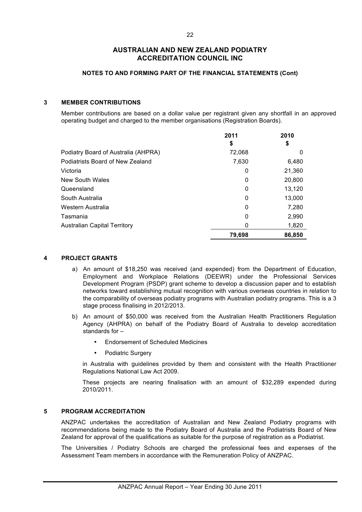#### **NOTES TO AND FORMING PART OF THE FINANCIAL STATEMENTS (Cont)**

#### **3 MEMBER CONTRIBUTIONS**

Member contributions are based on a dollar value per registrant given any shortfall in an approved operating budget and charged to the member organisations (Registration Boards).

|                                     | 2011<br>\$ | 2010<br>\$ |
|-------------------------------------|------------|------------|
| Podiatry Board of Australia (AHPRA) | 72,068     | O          |
| Podiatrists Board of New Zealand    | 7,630      | 6,480      |
| Victoria                            | 0          | 21,360     |
| New South Wales                     | 0          | 20,800     |
| Queensland                          | 0          | 13,120     |
| South Australia                     | 0          | 13,000     |
| Western Australia                   | 0          | 7,280      |
| Tasmania                            | 0          | 2,990      |
| <b>Australian Capital Territory</b> | 0          | 1,820      |
|                                     | 79,698     | 86,850     |

#### **4 PROJECT GRANTS**

- a) An amount of \$18,250 was received (and expended) from the Department of Education, Employment and Workplace Relations (DEEWR) under the Professional Services Development Program (PSDP) grant scheme to develop a discussion paper and to establish networks toward establishing mutual recognition with various overseas countries in relation to the comparability of overseas podiatry programs with Australian podiatry programs. This is a 3 stage process finalising in 2012/2013.
- b) An amount of \$50,000 was received from the Australian Health Practitioners Regulation Agency (AHPRA) on behalf of the Podiatry Board of Australia to develop accreditation standards for –
	- Endorsement of Scheduled Medicines
	- Podiatric Surgery

in Australia with guidelines provided by them and consistent with the Health Practitioner Regulations National Law Act 2009.

These projects are nearing finalisation with an amount of \$32,289 expended during 2010/2011.

#### **5 PROGRAM ACCREDITATION**

ANZPAC undertakes the accreditation of Australian and New Zealand Podiatry programs with recommendations being made to the Podiatry Board of Australia and the Podiatrists Board of New Zealand for approval of the qualifications as suitable for the purpose of registration as a Podiatrist.

The Universities / Podiatry Schools are charged the professional fees and expenses of the Assessment Team members in accordance with the Remuneration Policy of ANZPAC.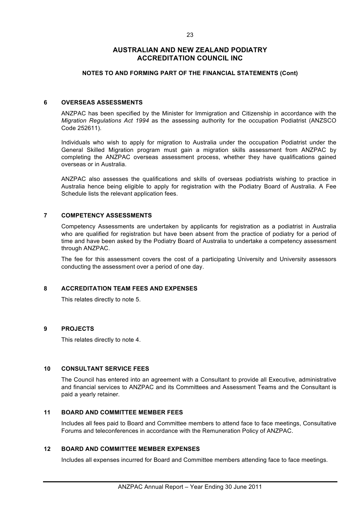#### **NOTES TO AND FORMING PART OF THE FINANCIAL STATEMENTS (Cont)**

#### **6 OVERSEAS ASSESSMENTS**

ANZPAC has been specified by the Minister for Immigration and Citizenship in accordance with the *Migration Regulations Act 1994* as the assessing authority for the occupation Podiatrist (ANZSCO Code 252611).

Individuals who wish to apply for migration to Australia under the occupation Podiatrist under the General Skilled Migration program must gain a migration skills assessment from ANZPAC by completing the ANZPAC overseas assessment process, whether they have qualifications gained overseas or in Australia.

ANZPAC also assesses the qualifications and skills of overseas podiatrists wishing to practice in Australia hence being eligible to apply for registration with the Podiatry Board of Australia. A Fee Schedule lists the relevant application fees.

#### **7 COMPETENCY ASSESSMENTS**

Competency Assessments are undertaken by applicants for registration as a podiatrist in Australia who are qualified for registration but have been absent from the practice of podiatry for a period of time and have been asked by the Podiatry Board of Australia to undertake a competency assessment through ANZPAC.

The fee for this assessment covers the cost of a participating University and University assessors conducting the assessment over a period of one day.

#### **8 ACCREDITATION TEAM FEES AND EXPENSES**

This relates directly to note 5.

#### **9 PROJECTS**

This relates directly to note 4.

#### **10 CONSULTANT SERVICE FEES**

The Council has entered into an agreement with a Consultant to provide all Executive, administrative and financial services to ANZPAC and its Committees and Assessment Teams and the Consultant is paid a yearly retainer.

#### **11 BOARD AND COMMITTEE MEMBER FEES**

Includes all fees paid to Board and Committee members to attend face to face meetings, Consultative Forums and teleconferences in accordance with the Remuneration Policy of ANZPAC.

#### **12 BOARD AND COMMITTEE MEMBER EXPENSES**

Includes all expenses incurred for Board and Committee members attending face to face meetings.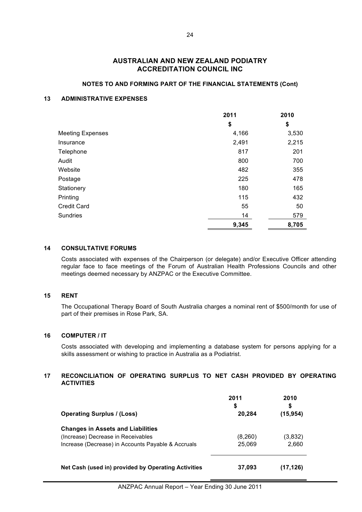#### **NOTES TO AND FORMING PART OF THE FINANCIAL STATEMENTS (Cont)**

### **13 ADMINISTRATIVE EXPENSES**

|                         | 2011  | 2010  |
|-------------------------|-------|-------|
|                         | \$    | \$    |
| <b>Meeting Expenses</b> | 4,166 | 3,530 |
| Insurance               | 2,491 | 2,215 |
| Telephone               | 817   | 201   |
| Audit                   | 800   | 700   |
| Website                 | 482   | 355   |
| Postage                 | 225   | 478   |
| Stationery              | 180   | 165   |
| Printing                | 115   | 432   |
| <b>Credit Card</b>      | 55    | 50    |
| <b>Sundries</b>         | 14    | 579   |
|                         | 9,345 | 8,705 |

#### **14 CONSULTATIVE FORUMS**

Costs associated with expenses of the Chairperson (or delegate) and/or Executive Officer attending regular face to face meetings of the Forum of Australian Health Professions Councils and other meetings deemed necessary by ANZPAC or the Executive Committee.

#### **15 RENT**

The Occupational Therapy Board of South Australia charges a nominal rent of \$500/month for use of part of their premises in Rose Park, SA.

#### **16 COMPUTER / IT**

Costs associated with developing and implementing a database system for persons applying for a skills assessment or wishing to practice in Australia as a Podiatrist.

#### **17 RECONCILIATION OF OPERATING SURPLUS TO NET CASH PROVIDED BY OPERATING ACTIVITIES**

| <b>Operating Surplus / (Loss)</b>                   | 2011<br>\$<br>20,284 | 2010<br>S<br>(15, 954) |
|-----------------------------------------------------|----------------------|------------------------|
| <b>Changes in Assets and Liabilities</b>            |                      |                        |
| (Increase) Decrease in Receivables                  | (8,260)              | (3,832)                |
| Increase (Decrease) in Accounts Payable & Accruals  | 25,069               | 2,660                  |
| Net Cash (used in) provided by Operating Activities | 37,093               | (17,126)               |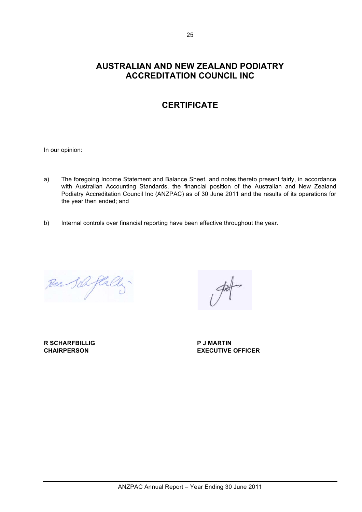## **CERTIFICATE**

In our opinion:

- a) The foregoing Income Statement and Balance Sheet, and notes thereto present fairly, in accordance with Australian Accounting Standards, the financial position of the Australian and New Zealand Podiatry Accreditation Council Inc (ANZPAC) as of 30 June 2011 and the results of its operations for the year then ended; and
- b) Internal controls over financial reporting have been effective throughout the year.

Race Sch flall

**R SCHARFBILLIG P J MARTIN**

**CHAIRPERSON EXECUTIVE OFFICER**